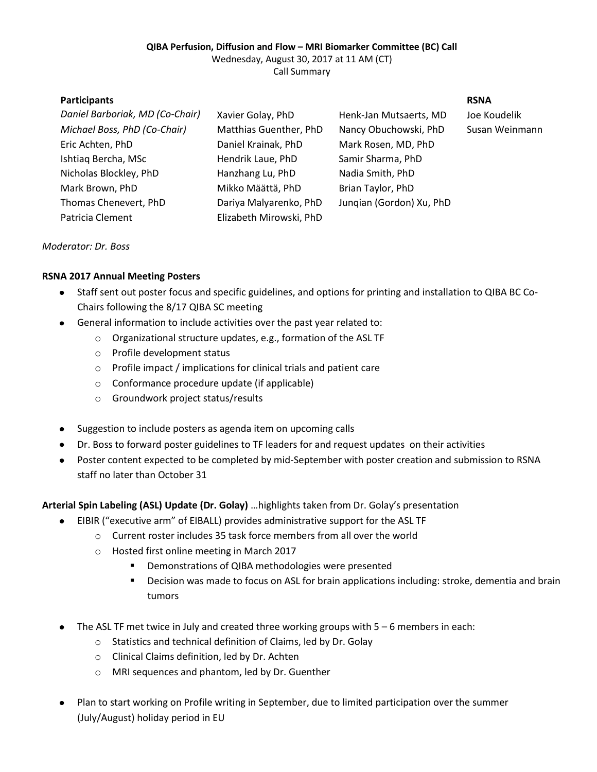### **QIBA Perfusion, Diffusion and Flow – MRI Biomarker Committee (BC) Call**

Wednesday, August 30, 2017 at 11 AM (CT) Call Summary

| <b>Participants</b>             |                         |                          | <b>RSNA</b>    |
|---------------------------------|-------------------------|--------------------------|----------------|
| Daniel Barboriak, MD (Co-Chair) | Xavier Golay, PhD       | Henk-Jan Mutsaerts, MD   | Joe Koudelik   |
| Michael Boss, PhD (Co-Chair)    | Matthias Guenther, PhD  | Nancy Obuchowski, PhD    | Susan Weinmann |
| Eric Achten, PhD                | Daniel Krainak, PhD     | Mark Rosen, MD, PhD      |                |
| Ishtiaq Bercha, MSc             | Hendrik Laue, PhD       | Samir Sharma, PhD        |                |
| Nicholas Blockley, PhD          | Hanzhang Lu, PhD        | Nadia Smith, PhD         |                |
| Mark Brown, PhD                 | Mikko Määttä, PhD       | Brian Taylor, PhD        |                |
| Thomas Chenevert, PhD           | Dariya Malyarenko, PhD  | Jungian (Gordon) Xu, PhD |                |
| Patricia Clement                | Elizabeth Mirowski, PhD |                          |                |

*Moderator: Dr. Boss*

# **RSNA 2017 Annual Meeting Posters**

- Staff sent out poster focus and specific guidelines, and options for printing and installation to QIBA BC Co- $\bullet$ Chairs following the 8/17 QIBA SC meeting
- General information to include activities over the past year related to:  $\bullet$ 
	- o Organizational structure updates, e.g., formation of the ASL TF
	- o Profile development status
	- o Profile impact / implications for clinical trials and patient care
	- o Conformance procedure update (if applicable)
	- o Groundwork project status/results
- Suggestion to include posters as agenda item on upcoming calls
- Dr. Boss to forward poster guidelines to TF leaders for and request updates on their activities
- Poster content expected to be completed by mid-September with poster creation and submission to RSNA staff no later than October 31

# **Arterial Spin Labeling (ASL) Update (Dr. Golay)** …highlights taken from Dr. Golay's presentation

- EIBIR ("executive arm" of EIBALL) provides administrative support for the ASL TF  $\bullet$ 
	- o Current roster includes 35 task force members from all over the world
	- o Hosted first online meeting in March 2017
		- **•** Demonstrations of QIBA methodologies were presented
		- **•** Decision was made to focus on ASL for brain applications including: stroke, dementia and brain tumors
- The ASL TF met twice in July and created three working groups with 5 6 members in each:
	- o Statistics and technical definition of Claims, led by Dr. Golay
	- o Clinical Claims definition, led by Dr. Achten
	- o MRI sequences and phantom, led by Dr. Guenther
- Plan to start working on Profile writing in September, due to limited participation over the summer (July/August) holiday period in EU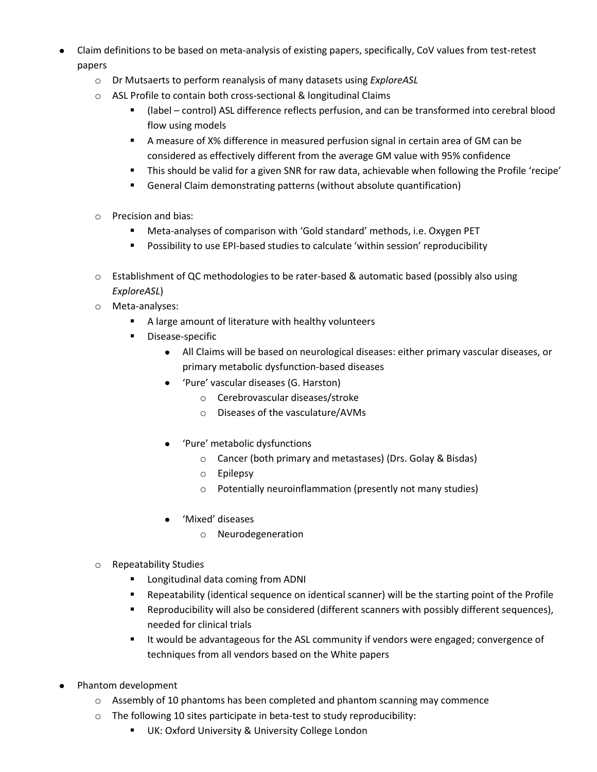- Claim definitions to be based on meta-analysis of existing papers, specifically, CoV values from test-retest papers
	- o Dr Mutsaerts to perform reanalysis of many datasets using *ExploreASL*
	- o ASL Profile to contain both cross-sectional & longitudinal Claims
		- (label control) ASL difference reflects perfusion, and can be transformed into cerebral blood flow using models
		- A measure of X% difference in measured perfusion signal in certain area of GM can be considered as effectively different from the average GM value with 95% confidence
		- This should be valid for a given SNR for raw data, achievable when following the Profile 'recipe'
		- General Claim demonstrating patterns (without absolute quantification)
	- o Precision and bias:
		- Meta-analyses of comparison with 'Gold standard' methods, i.e. Oxygen PET
		- Possibility to use EPI-based studies to calculate 'within session' reproducibility
	- o Establishment of QC methodologies to be rater-based & automatic based (possibly also using *ExploreASL*)
	- o Meta-analyses:
		- A large amount of literature with healthy volunteers
		- **•** Disease-specific
			- All Claims will be based on neurological diseases: either primary vascular diseases, or primary metabolic dysfunction-based diseases
			- 'Pure' vascular diseases (G. Harston)  $\bullet$ 
				- o Cerebrovascular diseases/stroke
				- o Diseases of the vasculature/AVMs
			- 'Pure' metabolic dysfunctions
				- o Cancer (both primary and metastases) (Drs. Golay & Bisdas)
				- o Epilepsy
				- o Potentially neuroinflammation (presently not many studies)
			- 'Mixed' diseases
				- o Neurodegeneration
	- o Repeatability Studies
		- **E** Longitudinal data coming from ADNI
		- Repeatability (identical sequence on identical scanner) will be the starting point of the Profile
		- Reproducibility will also be considered (different scanners with possibly different sequences), needed for clinical trials
		- It would be advantageous for the ASL community if vendors were engaged; convergence of techniques from all vendors based on the White papers
- Phantom development
	- o Assembly of 10 phantoms has been completed and phantom scanning may commence
	- o The following 10 sites participate in beta-test to study reproducibility:
		- **UK: Oxford University & University College London**